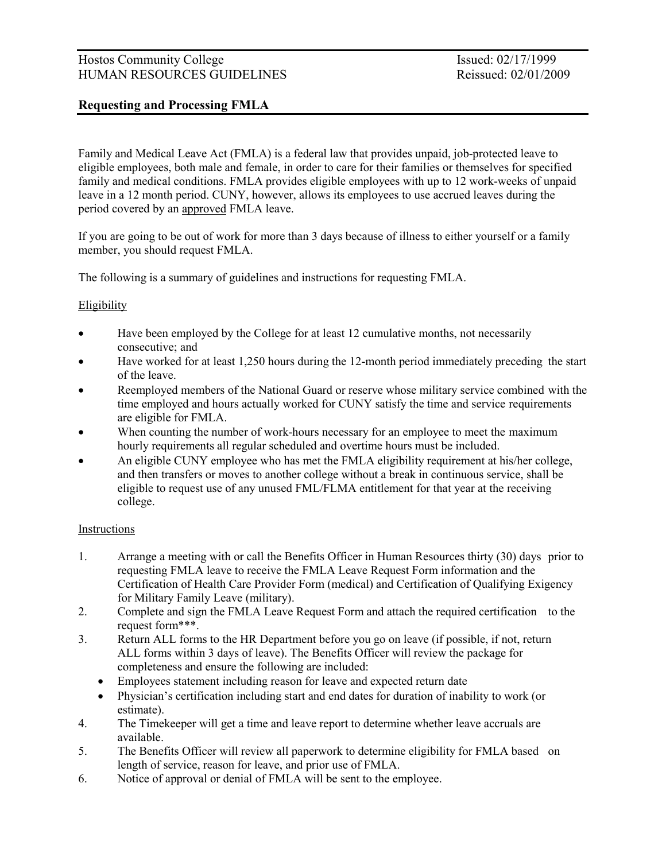# Requesting and Processing FMLA

Family and Medical Leave Act (FMLA) is a federal law that provides unpaid, job-protected leave to eligible employees, both male and female, in order to care for their families or themselves for specified family and medical conditions. FMLA provides eligible employees with up to 12 work-weeks of unpaid leave in a 12 month period. CUNY, however, allows its employees to use accrued leaves during the period covered by an approved FMLA leave.

If you are going to be out of work for more than 3 days because of illness to either yourself or a family member, you should request FMLA.

The following is a summary of guidelines and instructions for requesting FMLA.

#### **Eligibility**

- Have been employed by the College for at least 12 cumulative months, not necessarily consecutive; and
- Have worked for at least 1,250 hours during the 12-month period immediately preceding the start of the leave.
- Reemployed members of the National Guard or reserve whose military service combined with the time employed and hours actually worked for CUNY satisfy the time and service requirements are eligible for FMLA.
- When counting the number of work-hours necessary for an employee to meet the maximum hourly requirements all regular scheduled and overtime hours must be included.
- An eligible CUNY employee who has met the FMLA eligibility requirement at his/her college, and then transfers or moves to another college without a break in continuous service, shall be eligible to request use of any unused FML/FLMA entitlement for that year at the receiving college.

#### Instructions

- 1. Arrange a meeting with or call the Benefits Officer in Human Resources thirty (30) days prior to requesting FMLA leave to receive the FMLA Leave Request Form information and the Certification of Health Care Provider Form (medical) and Certification of Qualifying Exigency for Military Family Leave (military).
- 2. Complete and sign the FMLA Leave Request Form and attach the required certification to the request form\*\*\*.
- 3. Return ALL forms to the HR Department before you go on leave (if possible, if not, return ALL forms within 3 days of leave). The Benefits Officer will review the package for completeness and ensure the following are included:
	- Employees statement including reason for leave and expected return date
	- Physician's certification including start and end dates for duration of inability to work (or estimate).
- 4. The Timekeeper will get a time and leave report to determine whether leave accruals are available.
- 5. The Benefits Officer will review all paperwork to determine eligibility for FMLA based on length of service, reason for leave, and prior use of FMLA.
- 6. Notice of approval or denial of FMLA will be sent to the employee.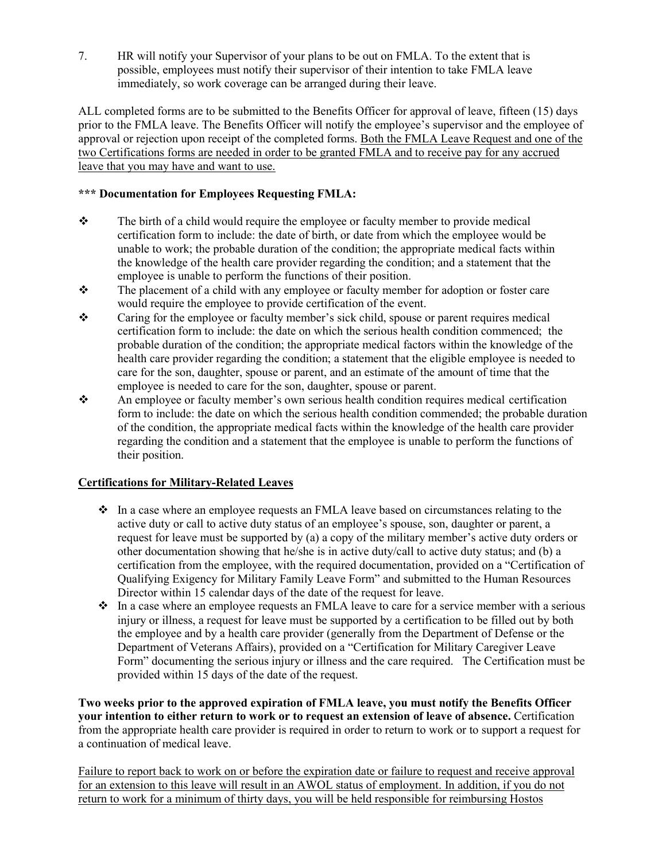7. HR will notify your Supervisor of your plans to be out on FMLA. To the extent that is possible, employees must notify their supervisor of their intention to take FMLA leave immediately, so work coverage can be arranged during their leave.

ALL completed forms are to be submitted to the Benefits Officer for approval of leave, fifteen (15) days prior to the FMLA leave. The Benefits Officer will notify the employee's supervisor and the employee of approval or rejection upon receipt of the completed forms. Both the FMLA Leave Request and one of the two Certifications forms are needed in order to be granted FMLA and to receive pay for any accrued leave that you may have and want to use.

## \*\*\* Documentation for Employees Requesting FMLA:

- The birth of a child would require the employee or faculty member to provide medical certification form to include: the date of birth, or date from which the employee would be unable to work; the probable duration of the condition; the appropriate medical facts within the knowledge of the health care provider regarding the condition; and a statement that the employee is unable to perform the functions of their position.
- \* The placement of a child with any employee or faculty member for adoption or foster care would require the employee to provide certification of the event.<br>  $\bullet$  Caring for the employee or faculty member's sick child, spouse c
- Caring for the employee or faculty member's sick child, spouse or parent requires medical certification form to include: the date on which the serious health condition commenced; the probable duration of the condition; the appropriate medical factors within the knowledge of the health care provider regarding the condition; a statement that the eligible employee is needed to care for the son, daughter, spouse or parent, and an estimate of the amount of time that the employee is needed to care for the son, daughter, spouse or parent.
- An employee or faculty member's own serious health condition requires medical certification form to include: the date on which the serious health condition commended; the probable duration of the condition, the appropriate medical facts within the knowledge of the health care provider regarding the condition and a statement that the employee is unable to perform the functions of their position.

## Certifications for Military-Related Leaves

- $\cdot \cdot$  In a case where an employee requests an FMLA leave based on circumstances relating to the active duty or call to active duty status of an employee's spouse, son, daughter or parent, a request for leave must be supported by (a) a copy of the military member's active duty orders or other documentation showing that he/she is in active duty/call to active duty status; and (b) a certification from the employee, with the required documentation, provided on a "Certification of Qualifying Exigency for Military Family Leave Form" and submitted to the Human Resources Director within 15 calendar days of the date of the request for leave.
- $\cdot \cdot$  In a case where an employee requests an FMLA leave to care for a service member with a serious injury or illness, a request for leave must be supported by a certification to be filled out by both the employee and by a health care provider (generally from the Department of Defense or the Department of Veterans Affairs), provided on a "Certification for Military Caregiver Leave Form" documenting the serious injury or illness and the care required. The Certification must be provided within 15 days of the date of the request.

Two weeks prior to the approved expiration of FMLA leave, you must notify the Benefits Officer your intention to either return to work or to request an extension of leave of absence. Certification from the appropriate health care provider is required in order to return to work or to support a request for a continuation of medical leave.

Failure to report back to work on or before the expiration date or failure to request and receive approval for an extension to this leave will result in an AWOL status of employment. In addition, if you do not return to work for a minimum of thirty days, you will be held responsible for reimbursing Hostos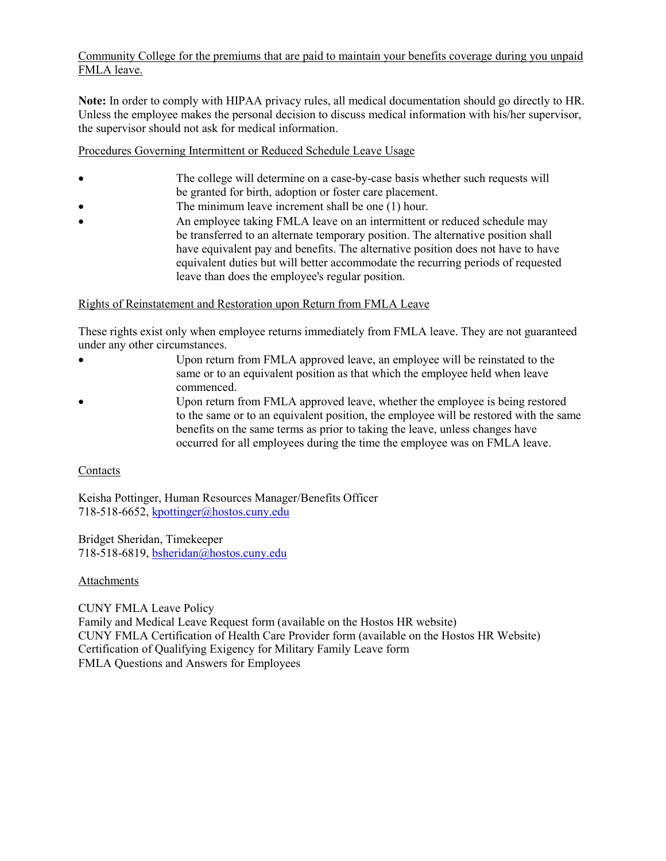## Community College for the premiums that are paid to maintain your benefits coverage during you unpaid FMLA leave.

Note: In order to comply with HIPAA privacy rules, all medical documentation should go directly to HR. Unless the employee makes the personal decision to discuss medical information with his/her supervisor, the supervisor should not ask for medical information.

Procedures Governing Intermittent or Reduced Schedule Leave Usage

- The college will determine on a case-by-case basis whether such requests will be granted for birth, adoption or foster care placement.
- The minimum leave increment shall be one (1) hour.
- An employee taking FMLA leave on an intermittent or reduced schedule may be transferred to an alternate temporary position. The alternative position shall have equivalent pay and benefits. The alternative position does not have to have equivalent duties but will better accommodate the recurring periods of requested leave than does the employee's regular position.

## Rights of Reinstatement and Restoration upon Return from FMLA Leave

These rights exist only when employee returns immediately from FMLA leave. They are not guaranteed under any other circumstances.

- Upon return from FMLA approved leave, an employee will be reinstated to the same or to an equivalent position as that which the employee held when leave commenced.
- Upon return from FMLA approved leave, whether the employee is being restored to the same or to an equivalent position, the employee will be restored with the same benefits on the same terms as prior to taking the leave, unless changes have occurred for all employees during the time the employee was on FMLA leave.

## Contacts

Keisha Pottinger, Human Resources Manager/Benefits Officer 718-518-6652, kpottinger@hostos.cuny.edu

Bridget Sheridan, Timekeeper 718-518-6819, bsheridan@hostos.cuny.edu

## Attachments

CUNY FMLA Leave Policy Family and Medical Leave Request form (available on the Hostos HR website) CUNY FMLA Certification of Health Care Provider form (available on the Hostos HR Website) Certification of Qualifying Exigency for Military Family Leave form FMLA Questions and Answers for Employees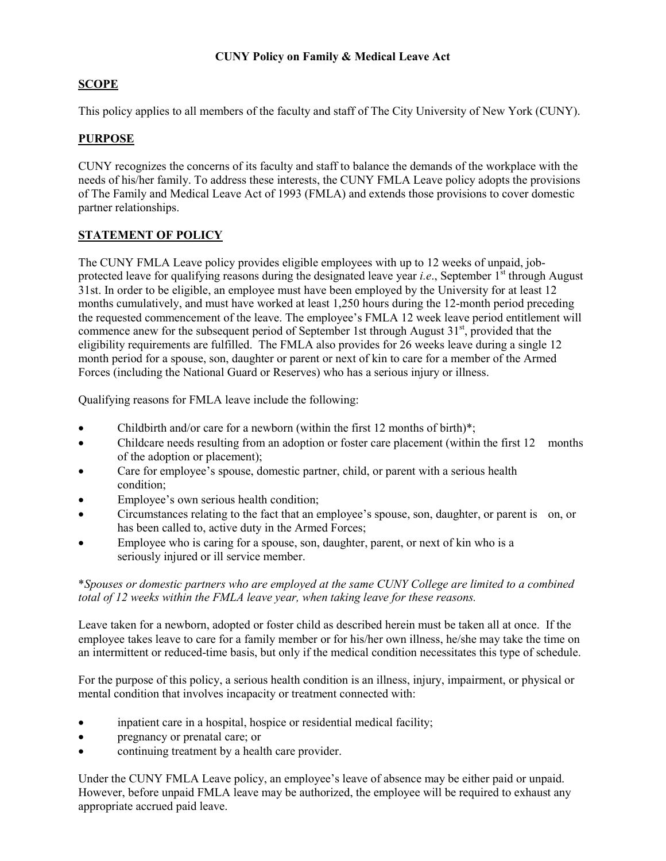## **SCOPE**

This policy applies to all members of the faculty and staff of The City University of New York (CUNY).

## PURPOSE

CUNY recognizes the concerns of its faculty and staff to balance the demands of the workplace with the needs of his/her family. To address these interests, the CUNY FMLA Leave policy adopts the provisions of The Family and Medical Leave Act of 1993 (FMLA) and extends those provisions to cover domestic partner relationships.

## STATEMENT OF POLICY

The CUNY FMLA Leave policy provides eligible employees with up to 12 weeks of unpaid, jobprotected leave for qualifying reasons during the designated leave year *i.e.*, September  $1<sup>st</sup>$  through August 31st. In order to be eligible, an employee must have been employed by the University for at least 12 months cumulatively, and must have worked at least 1,250 hours during the 12-month period preceding the requested commencement of the leave. The employee's FMLA 12 week leave period entitlement will commence anew for the subsequent period of September 1st through August  $31<sup>st</sup>$ , provided that the eligibility requirements are fulfilled. The FMLA also provides for 26 weeks leave during a single 12 month period for a spouse, son, daughter or parent or next of kin to care for a member of the Armed Forces (including the National Guard or Reserves) who has a serious injury or illness.

Qualifying reasons for FMLA leave include the following:

- Childbirth and/or care for a newborn (within the first 12 months of birth)\*;
- Childcare needs resulting from an adoption or foster care placement (within the first 12 months of the adoption or placement);
- Care for employee's spouse, domestic partner, child, or parent with a serious health condition;
- Employee's own serious health condition;
- Circumstances relating to the fact that an employee's spouse, son, daughter, or parent is on, or has been called to, active duty in the Armed Forces;
- Employee who is caring for a spouse, son, daughter, parent, or next of kin who is a seriously injured or ill service member.

\*Spouses or domestic partners who are employed at the same CUNY College are limited to a combined total of 12 weeks within the FMLA leave year, when taking leave for these reasons.

Leave taken for a newborn, adopted or foster child as described herein must be taken all at once. If the employee takes leave to care for a family member or for his/her own illness, he/she may take the time on an intermittent or reduced-time basis, but only if the medical condition necessitates this type of schedule.

For the purpose of this policy, a serious health condition is an illness, injury, impairment, or physical or mental condition that involves incapacity or treatment connected with:

- inpatient care in a hospital, hospice or residential medical facility;
- **pregnancy or prenatal care; or**
- continuing treatment by a health care provider.

Under the CUNY FMLA Leave policy, an employee's leave of absence may be either paid or unpaid. However, before unpaid FMLA leave may be authorized, the employee will be required to exhaust any appropriate accrued paid leave.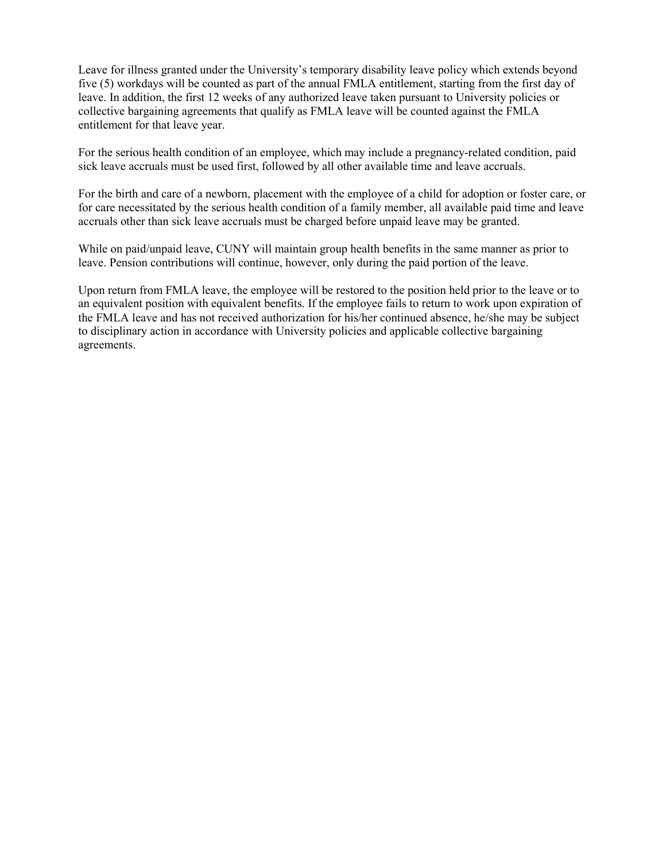Leave for illness granted under the University's temporary disability leave policy which extends beyond five (5) workdays will be counted as part of the annual FMLA entitlement, starting from the first day of leave. In addition, the first 12 weeks of any authorized leave taken pursuant to University policies or collective bargaining agreements that qualify as FMLA leave will be counted against the FMLA entitlement for that leave year.

For the serious health condition of an employee, which may include a pregnancy-related condition, paid sick leave accruals must be used first, followed by all other available time and leave accruals.

For the birth and care of a newborn, placement with the employee of a child for adoption or foster care, or for care necessitated by the serious health condition of a family member, all available paid time and leave accruals other than sick leave accruals must be charged before unpaid leave may be granted.

While on paid/unpaid leave, CUNY will maintain group health benefits in the same manner as prior to leave. Pension contributions will continue, however, only during the paid portion of the leave.

Upon return from FMLA leave, the employee will be restored to the position held prior to the leave or to an equivalent position with equivalent benefits. If the employee fails to return to work upon expiration of the FMLA leave and has not received authorization for his/her continued absence, he/she may be subject to disciplinary action in accordance with University policies and applicable collective bargaining agreements.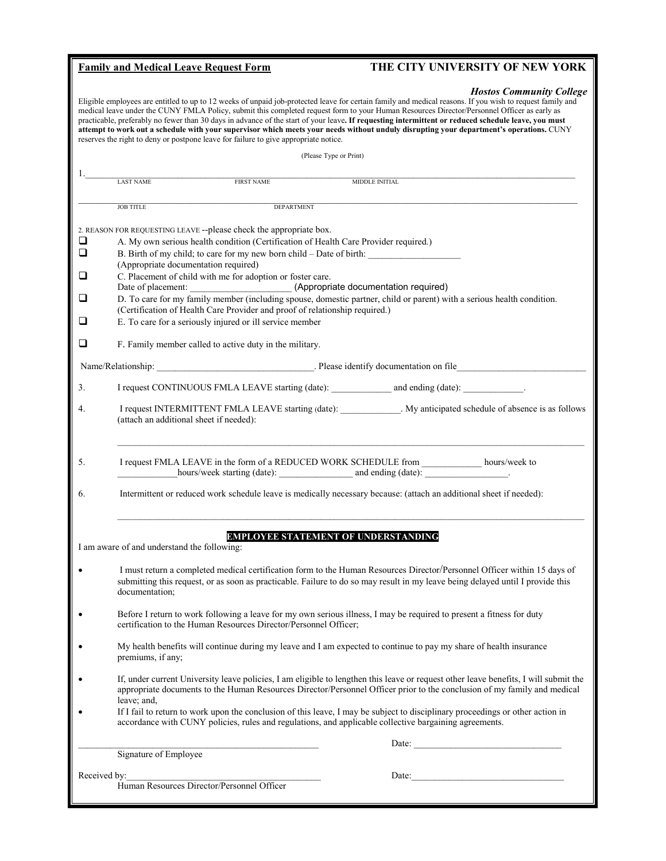# Family and Medical Leave Request Form THE CITY UNIVERSITY OF NEW YORK

|                  |                                                               | medical leave under the CUNY FMLA Policy, submit this completed request form to your Human Resources Director/Personnel Officer as early as<br>practicable, preferably no fewer than 30 days in advance of the start of your leave. If requesting intermittent or reduced schedule leave, you must<br>reserves the right to deny or postpone leave for failure to give appropriate notice. |                        |                       | <b>Hostos Community College</b><br>Eligible employees are entitled to up to 12 weeks of unpaid job-protected leave for certain family and medical reasons. If you wish to request family and<br>attempt to work out a schedule with your supervisor which meets your needs without unduly disrupting your department's operations. CUNY |
|------------------|---------------------------------------------------------------|--------------------------------------------------------------------------------------------------------------------------------------------------------------------------------------------------------------------------------------------------------------------------------------------------------------------------------------------------------------------------------------------|------------------------|-----------------------|-----------------------------------------------------------------------------------------------------------------------------------------------------------------------------------------------------------------------------------------------------------------------------------------------------------------------------------------|
|                  |                                                               |                                                                                                                                                                                                                                                                                                                                                                                            | (Please Type or Print) |                       |                                                                                                                                                                                                                                                                                                                                         |
|                  | LAST NAME                                                     |                                                                                                                                                                                                                                                                                                                                                                                            |                        |                       |                                                                                                                                                                                                                                                                                                                                         |
|                  |                                                               | <b>FIRST NAME</b>                                                                                                                                                                                                                                                                                                                                                                          |                        | <b>MIDDLE INITIAL</b> |                                                                                                                                                                                                                                                                                                                                         |
|                  | <b>JOB TITLE</b>                                              | <b>DEPARTMENT</b>                                                                                                                                                                                                                                                                                                                                                                          |                        |                       |                                                                                                                                                                                                                                                                                                                                         |
| $\Box$<br>$\Box$ | (Appropriate documentation required)                          | 2. REASON FOR REQUESTING LEAVE -- please check the appropriate box.<br>A. My own serious health condition (Certification of Health Care Provider required.)<br>B. Birth of my child; to care for my new born child – Date of birth:                                                                                                                                                        |                        |                       |                                                                                                                                                                                                                                                                                                                                         |
| ⊔                |                                                               | C. Placement of child with me for adoption or foster care.                                                                                                                                                                                                                                                                                                                                 |                        |                       |                                                                                                                                                                                                                                                                                                                                         |
| ப                |                                                               | Date of placement: (Appropriate documentation required)<br>D. To care for my family member (including spouse, domestic partner, child or parent) with a serious health condition.                                                                                                                                                                                                          |                        |                       |                                                                                                                                                                                                                                                                                                                                         |
| ⊔                |                                                               | (Certification of Health Care Provider and proof of relationship required.)<br>E. To care for a seriously injured or ill service member                                                                                                                                                                                                                                                    |                        |                       |                                                                                                                                                                                                                                                                                                                                         |
| ❏                |                                                               | F. Family member called to active duty in the military.                                                                                                                                                                                                                                                                                                                                    |                        |                       |                                                                                                                                                                                                                                                                                                                                         |
|                  |                                                               |                                                                                                                                                                                                                                                                                                                                                                                            |                        |                       |                                                                                                                                                                                                                                                                                                                                         |
|                  |                                                               |                                                                                                                                                                                                                                                                                                                                                                                            |                        |                       |                                                                                                                                                                                                                                                                                                                                         |
| 3.               |                                                               | I request CONTINUOUS FMLA LEAVE starting (date): and ending (date):                                                                                                                                                                                                                                                                                                                        |                        |                       |                                                                                                                                                                                                                                                                                                                                         |
| 4.               | (attach an additional sheet if needed):                       |                                                                                                                                                                                                                                                                                                                                                                                            |                        |                       | I request INTERMITTENT FMLA LEAVE starting (date): My anticipated schedule of absence is as follows                                                                                                                                                                                                                                     |
| 5.               |                                                               | I request FMLA LEAVE in the form of a REDUCED WORK SCHEDULE from hours/week to                                                                                                                                                                                                                                                                                                             |                        |                       |                                                                                                                                                                                                                                                                                                                                         |
| 6.               |                                                               | Intermittent or reduced work schedule leave is medically necessary because: (attach an additional sheet if needed):                                                                                                                                                                                                                                                                        |                        |                       |                                                                                                                                                                                                                                                                                                                                         |
| ٠                | I am aware of and understand the following:<br>documentation; | <b>EMPLOYEE STATEMENT OF UNDERSTANDING</b>                                                                                                                                                                                                                                                                                                                                                 |                        |                       | I must return a completed medical certification form to the Human Resources Director/Personnel Officer within 15 days of<br>submitting this request, or as soon as practicable. Failure to do so may result in my leave being delayed until I provide this                                                                              |
|                  |                                                               | Before I return to work following a leave for my own serious illness, I may be required to present a fitness for duty<br>certification to the Human Resources Director/Personnel Officer;                                                                                                                                                                                                  |                        |                       |                                                                                                                                                                                                                                                                                                                                         |
|                  | premiums, if any,                                             | My health benefits will continue during my leave and I am expected to continue to pay my share of health insurance                                                                                                                                                                                                                                                                         |                        |                       |                                                                                                                                                                                                                                                                                                                                         |
|                  | leave; and,                                                   |                                                                                                                                                                                                                                                                                                                                                                                            |                        |                       | If, under current University leave policies, I am eligible to lengthen this leave or request other leave benefits, I will submit the<br>appropriate documents to the Human Resources Director/Personnel Officer prior to the conclusion of my family and medical                                                                        |
|                  |                                                               | If I fail to return to work upon the conclusion of this leave, I may be subject to disciplinary proceedings or other action in<br>accordance with CUNY policies, rules and regulations, and applicable collective bargaining agreements.                                                                                                                                                   |                        |                       |                                                                                                                                                                                                                                                                                                                                         |
|                  |                                                               |                                                                                                                                                                                                                                                                                                                                                                                            |                        |                       |                                                                                                                                                                                                                                                                                                                                         |
|                  | Signature of Employee                                         |                                                                                                                                                                                                                                                                                                                                                                                            |                        |                       |                                                                                                                                                                                                                                                                                                                                         |
|                  |                                                               | Received by:<br>Human Resources Director/Personnel Officer                                                                                                                                                                                                                                                                                                                                 |                        |                       |                                                                                                                                                                                                                                                                                                                                         |
|                  |                                                               |                                                                                                                                                                                                                                                                                                                                                                                            |                        |                       |                                                                                                                                                                                                                                                                                                                                         |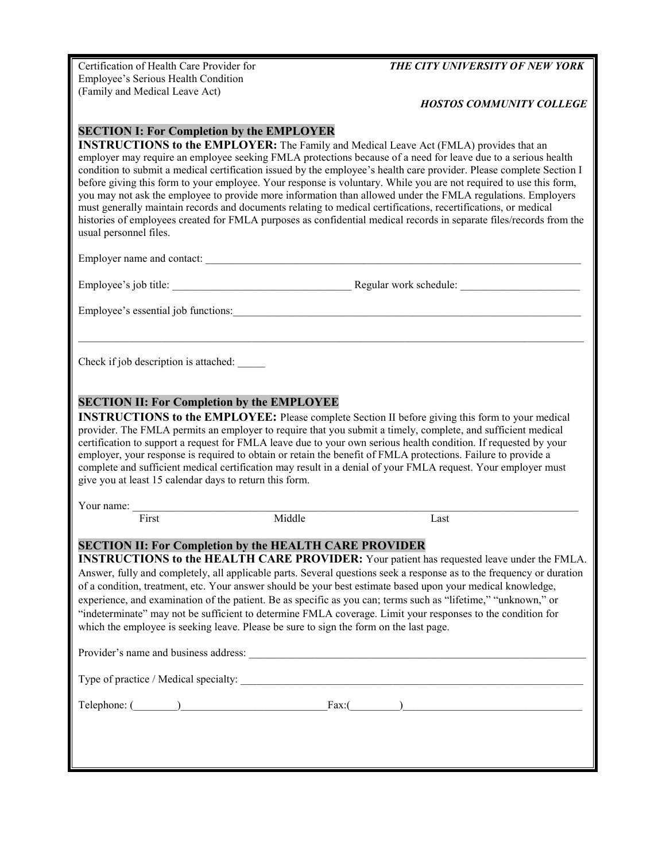Employee's Serious Health Condition (Family and Medical Leave Act)

#### Certification of Health Care Provider for THE CITY UNIVERSITY OF NEW YORK

#### HOSTOS COMMUNITY COLLEGE

#### SECTION I: For Completion by the EMPLOYER

INSTRUCTIONS to the EMPLOYER: The Family and Medical Leave Act (FMLA) provides that an employer may require an employee seeking FMLA protections because of a need for leave due to a serious health condition to submit a medical certification issued by the employee's health care provider. Please complete Section I before giving this form to your employee. Your response is voluntary. While you are not required to use this form, you may not ask the employee to provide more information than allowed under the FMLA regulations. Employers must generally maintain records and documents relating to medical certifications, recertifications, or medical histories of employees created for FMLA purposes as confidential medical records in separate files/records from the usual personnel files.

Employer name and contact:

Employee's job title: \_\_\_\_\_\_\_\_\_\_\_\_\_\_\_\_\_\_\_\_\_\_\_\_\_\_\_\_\_\_\_\_\_ Regular work schedule: \_\_\_\_\_\_\_\_\_\_\_\_\_\_\_\_\_\_\_\_\_\_

Employee's essential job functions:

Check if job description is attached: \_\_\_\_\_

#### SECTION II: For Completion by the EMPLOYEE

INSTRUCTIONS to the EMPLOYEE: Please complete Section II before giving this form to your medical provider. The FMLA permits an employer to require that you submit a timely, complete, and sufficient medical certification to support a request for FMLA leave due to your own serious health condition. If requested by your employer, your response is required to obtain or retain the benefit of FMLA protections. Failure to provide a complete and sufficient medical certification may result in a denial of your FMLA request. Your employer must give you at least 15 calendar days to return this form.

 $\_$  ,  $\_$  ,  $\_$  ,  $\_$  ,  $\_$  ,  $\_$  ,  $\_$  ,  $\_$  ,  $\_$  ,  $\_$  ,  $\_$  ,  $\_$  ,  $\_$  ,  $\_$  ,  $\_$  ,  $\_$  ,  $\_$  ,  $\_$  ,  $\_$  ,  $\_$  ,  $\_$  ,  $\_$  ,  $\_$  ,  $\_$  ,  $\_$  ,  $\_$  ,  $\_$  ,  $\_$  ,  $\_$  ,  $\_$  ,  $\_$  ,  $\_$  ,  $\_$  ,  $\_$  ,  $\_$  ,  $\_$  ,  $\_$  ,

| Your name:     |                                                                                        |                                                                                                                                                                                                                                                                                                                                                                                                                                                                |
|----------------|----------------------------------------------------------------------------------------|----------------------------------------------------------------------------------------------------------------------------------------------------------------------------------------------------------------------------------------------------------------------------------------------------------------------------------------------------------------------------------------------------------------------------------------------------------------|
| First          | Middle                                                                                 | Last                                                                                                                                                                                                                                                                                                                                                                                                                                                           |
|                | <b>SECTION II: For Completion by the HEALTH CARE PROVIDER</b>                          |                                                                                                                                                                                                                                                                                                                                                                                                                                                                |
|                |                                                                                        | <b>INSTRUCTIONS to the HEALTH CARE PROVIDER:</b> Your patient has requested leave under the FMLA.<br>Answer, fully and completely, all applicable parts. Several questions seek a response as to the frequency or duration<br>of a condition, treatment, etc. Your answer should be your best estimate based upon your medical knowledge,<br>experience, and examination of the patient. Be as specific as you can; terms such as "lifetime," "unknown," or    |
|                | which the employee is seeking leave. Please be sure to sign the form on the last page. | "indeterminate" may not be sufficient to determine FMLA coverage. Limit your responses to the condition for                                                                                                                                                                                                                                                                                                                                                    |
|                |                                                                                        |                                                                                                                                                                                                                                                                                                                                                                                                                                                                |
|                |                                                                                        |                                                                                                                                                                                                                                                                                                                                                                                                                                                                |
| Telephone: ( ) |                                                                                        | Fax: $\left($ $\right)$ $\frac{1}{\left( \frac{1}{2} \right) \left( \frac{1}{2} \right) \left( \frac{1}{2} \right) \left( \frac{1}{2} \right) \left( \frac{1}{2} \right) \left( \frac{1}{2} \right) \left( \frac{1}{2} \right) \left( \frac{1}{2} \right) \left( \frac{1}{2} \right) \left( \frac{1}{2} \right) \left( \frac{1}{2} \right) \left( \frac{1}{2} \right) \left( \frac{1}{2} \right) \left( \frac{1}{2} \right) \left( \frac{1}{2} \right) \left($ |
|                |                                                                                        |                                                                                                                                                                                                                                                                                                                                                                                                                                                                |
|                |                                                                                        |                                                                                                                                                                                                                                                                                                                                                                                                                                                                |
|                |                                                                                        |                                                                                                                                                                                                                                                                                                                                                                                                                                                                |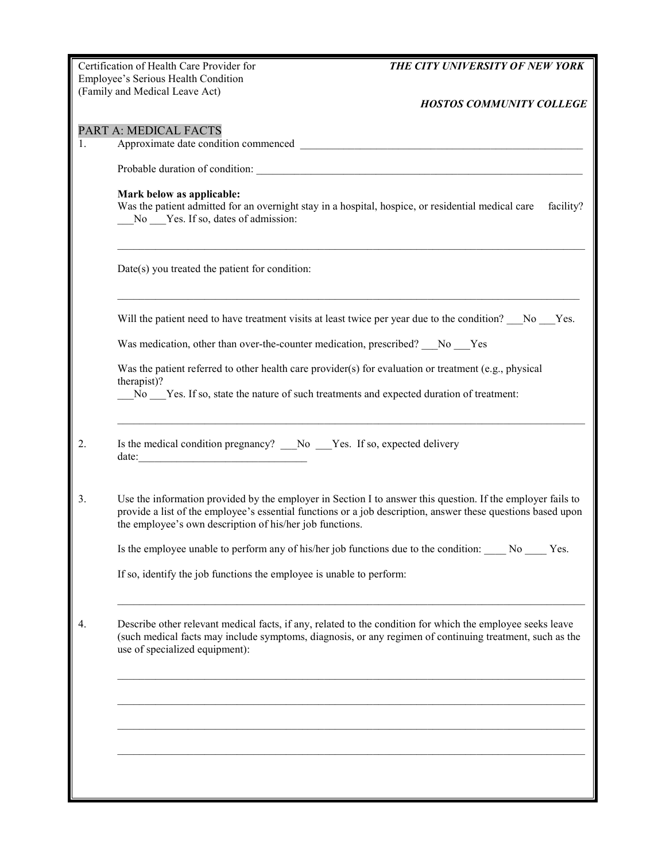|                | THE CITY UNIVERSITY OF NEW YORK<br>Certification of Health Care Provider for<br>Employee's Serious Health Condition                                                                                                                                                                     |
|----------------|-----------------------------------------------------------------------------------------------------------------------------------------------------------------------------------------------------------------------------------------------------------------------------------------|
|                | (Family and Medical Leave Act)<br><b>HOSTOS COMMUNITY COLLEGE</b>                                                                                                                                                                                                                       |
| $\mathbf{1}$ . | PART A: MEDICAL FACTS                                                                                                                                                                                                                                                                   |
|                |                                                                                                                                                                                                                                                                                         |
|                | Mark below as applicable:<br>Was the patient admitted for an overnight stay in a hospital, hospice, or residential medical care<br>facility?<br>No Yes. If so, dates of admission:                                                                                                      |
|                | Date(s) you treated the patient for condition:                                                                                                                                                                                                                                          |
|                | Will the patient need to have treatment visits at least twice per year due to the condition? No Yes.                                                                                                                                                                                    |
|                | Was medication, other than over-the-counter medication, prescribed? No Yes                                                                                                                                                                                                              |
|                | Was the patient referred to other health care provider(s) for evaluation or treatment (e.g., physical<br>therapist)?<br>No Yes. If so, state the nature of such treatments and expected duration of treatment:                                                                          |
| 2.             | Is the medical condition pregnancy? ___ No ___ Yes. If so, expected delivery<br>date: $\qquad \qquad$                                                                                                                                                                                   |
| 3.             | Use the information provided by the employer in Section I to answer this question. If the employer fails to<br>provide a list of the employee's essential functions or a job description, answer these questions based upon<br>the employee's own description of his/her job functions. |
|                | Is the employee unable to perform any of his/her job functions due to the condition:<br>No No<br>Yes.                                                                                                                                                                                   |
|                | If so, identify the job functions the employee is unable to perform:                                                                                                                                                                                                                    |
| 4.             | Describe other relevant medical facts, if any, related to the condition for which the employee seeks leave<br>(such medical facts may include symptoms, diagnosis, or any regimen of continuing treatment, such as the<br>use of specialized equipment):                                |
|                |                                                                                                                                                                                                                                                                                         |
|                |                                                                                                                                                                                                                                                                                         |
|                |                                                                                                                                                                                                                                                                                         |
|                |                                                                                                                                                                                                                                                                                         |
|                |                                                                                                                                                                                                                                                                                         |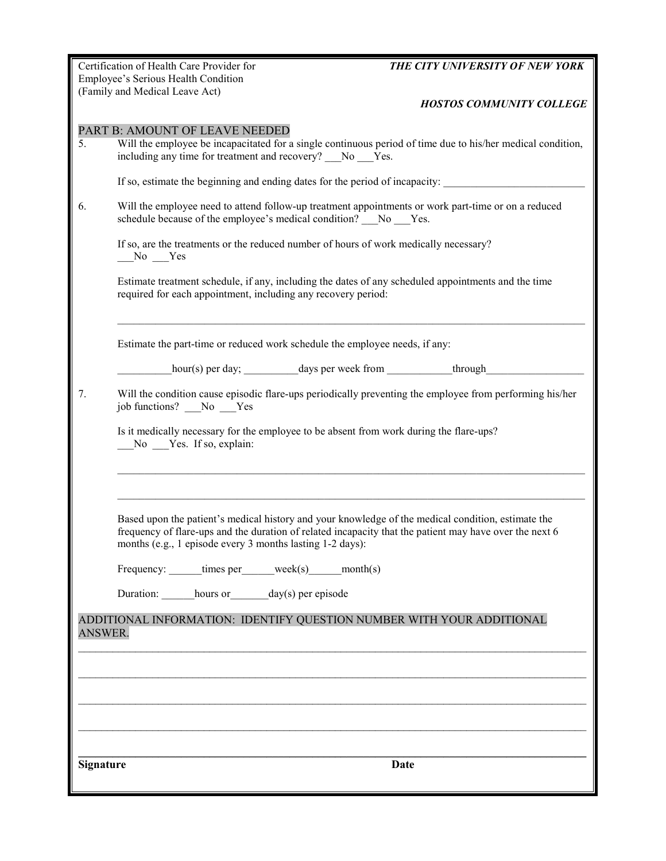|                  | Certification of Health Care Provider for                                                                                                                                                                                                                                  | THE CITY UNIVERSITY OF NEW YORK |
|------------------|----------------------------------------------------------------------------------------------------------------------------------------------------------------------------------------------------------------------------------------------------------------------------|---------------------------------|
|                  | Employee's Serious Health Condition<br>(Family and Medical Leave Act)                                                                                                                                                                                                      |                                 |
|                  |                                                                                                                                                                                                                                                                            | <b>HOSTOS COMMUNITY COLLEGE</b> |
| 5.               | PART B: AMOUNT OF LEAVE NEEDED<br>Will the employee be incapacitated for a single continuous period of time due to his/her medical condition,<br>including any time for treatment and recovery? No Yes.                                                                    |                                 |
|                  | If so, estimate the beginning and ending dates for the period of incapacity:                                                                                                                                                                                               |                                 |
| 6.               | Will the employee need to attend follow-up treatment appointments or work part-time or on a reduced<br>schedule because of the employee's medical condition? No Yes.                                                                                                       |                                 |
|                  | If so, are the treatments or the reduced number of hours of work medically necessary?<br>No Yes                                                                                                                                                                            |                                 |
|                  | Estimate treatment schedule, if any, including the dates of any scheduled appointments and the time<br>required for each appointment, including any recovery period:                                                                                                       |                                 |
|                  | Estimate the part-time or reduced work schedule the employee needs, if any:                                                                                                                                                                                                |                                 |
|                  | hour(s) per day; ____________ days per week from ______________through                                                                                                                                                                                                     |                                 |
| 7.               | Will the condition cause episodic flare-ups periodically preventing the employee from performing his/her<br>job functions? __No __Yes                                                                                                                                      |                                 |
|                  | Is it medically necessary for the employee to be absent from work during the flare-ups?<br>No Yes. If so, explain:                                                                                                                                                         |                                 |
|                  |                                                                                                                                                                                                                                                                            |                                 |
|                  | Based upon the patient's medical history and your knowledge of the medical condition, estimate the<br>frequency of flare-ups and the duration of related incapacity that the patient may have over the next 6<br>months (e.g., 1 episode every 3 months lasting 1-2 days): |                                 |
|                  | Frequency: times per week(s) month(s)                                                                                                                                                                                                                                      |                                 |
|                  | Duration: hours or day(s) per episode                                                                                                                                                                                                                                      |                                 |
| <b>ANSWER.</b>   | ADDITIONAL INFORMATION: IDENTIFY QUESTION NUMBER WITH YOUR ADDITIONAL                                                                                                                                                                                                      |                                 |
|                  |                                                                                                                                                                                                                                                                            |                                 |
|                  |                                                                                                                                                                                                                                                                            |                                 |
|                  |                                                                                                                                                                                                                                                                            |                                 |
|                  |                                                                                                                                                                                                                                                                            |                                 |
| <b>Signature</b> | <b>Date</b>                                                                                                                                                                                                                                                                |                                 |
|                  |                                                                                                                                                                                                                                                                            |                                 |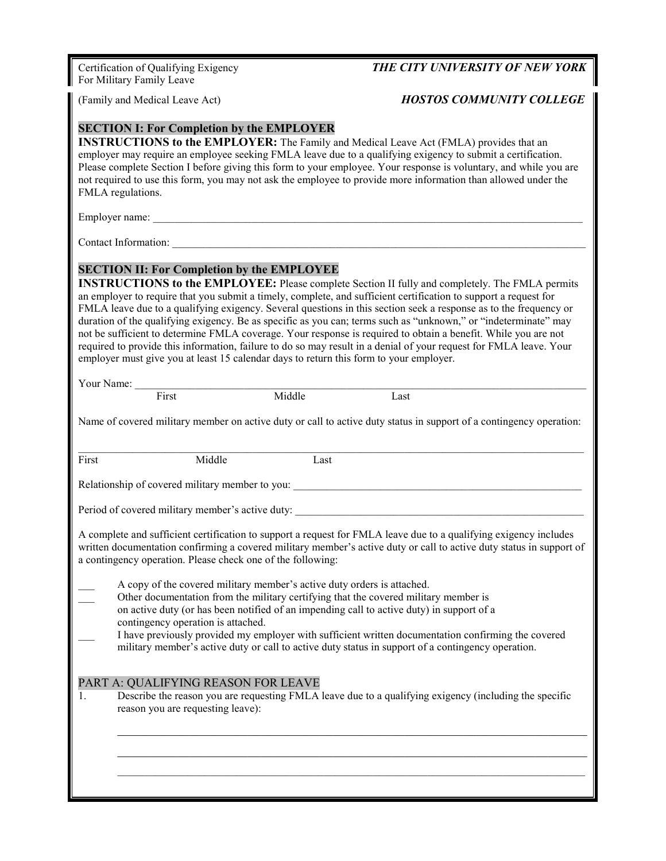For Military Family Leave

# Certification of Qualifying Exigency THE CITY UNIVERSITY OF NEW YORK

## (Family and Medical Leave Act) **HOSTOS COMMUNITY COLLEGE**

#### SECTION I: For Completion by the EMPLOYER

INSTRUCTIONS to the EMPLOYER: The Family and Medical Leave Act (FMLA) provides that an employer may require an employee seeking FMLA leave due to a qualifying exigency to submit a certification. Please complete Section I before giving this form to your employee. Your response is voluntary, and while you are not required to use this form, you may not ask the employee to provide more information than allowed under the FMLA regulations.

Employer name:

Contact Information:

## SECTION II: For Completion by the EMPLOYEE

INSTRUCTIONS to the EMPLOYEE: Please complete Section II fully and completely. The FMLA permits an employer to require that you submit a timely, complete, and sufficient certification to support a request for FMLA leave due to a qualifying exigency. Several questions in this section seek a response as to the frequency or duration of the qualifying exigency. Be as specific as you can; terms such as "unknown," or "indeterminate" may not be sufficient to determine FMLA coverage. Your response is required to obtain a benefit. While you are not required to provide this information, failure to do so may result in a denial of your request for FMLA leave. Your employer must give you at least 15 calendar days to return this form to your employer.

Your Name: \_\_\_\_\_\_\_\_\_\_\_\_\_\_\_\_\_\_\_\_\_\_\_\_\_\_\_\_\_\_\_\_\_\_\_\_\_\_\_\_\_\_\_\_\_\_\_\_\_\_\_\_\_\_\_\_\_\_\_\_\_\_\_\_\_\_\_\_\_\_\_\_\_\_\_\_\_\_\_\_\_\_\_

First Middle Last

Name of covered military member on active duty or call to active duty status in support of a contingency operation:

 $\_$  , and the state of the state of the state of the state of the state of the state of the state of the state of the state of the state of the state of the state of the state of the state of the state of the state of the

First Middle Last

Relationship of covered military member to you:

Period of covered military member's active duty:

A complete and sufficient certification to support a request for FMLA leave due to a qualifying exigency includes written documentation confirming a covered military member's active duty or call to active duty status in support of a contingency operation. Please check one of the following:

A copy of the covered military member's active duty orders is attached.

- Other documentation from the military certifying that the covered military member is on active duty (or has been notified of an impending call to active duty) in support of a contingency operation is attached.
- \_\_\_ I have previously provided my employer with sufficient written documentation confirming the covered military member's active duty or call to active duty status in support of a contingency operation.

#### PART A: QUALIFYING REASON FOR LEAVE

1. Describe the reason you are requesting FMLA leave due to a qualifying exigency (including the specific reason you are requesting leave):

 $\mathcal{L}_\text{max} = \frac{1}{2} \sum_{i=1}^{n} \frac{1}{2} \sum_{i=1}^{n} \frac{1}{2} \sum_{i=1}^{n} \frac{1}{2} \sum_{i=1}^{n} \frac{1}{2} \sum_{i=1}^{n} \frac{1}{2} \sum_{i=1}^{n} \frac{1}{2} \sum_{i=1}^{n} \frac{1}{2} \sum_{i=1}^{n} \frac{1}{2} \sum_{i=1}^{n} \frac{1}{2} \sum_{i=1}^{n} \frac{1}{2} \sum_{i=1}^{n} \frac{1}{2} \sum_{i=1}^{n} \frac{1$  $\mathcal{L}_\text{max} = \frac{1}{2} \sum_{i=1}^{n} \frac{1}{2} \sum_{i=1}^{n} \frac{1}{2} \sum_{i=1}^{n} \frac{1}{2} \sum_{i=1}^{n} \frac{1}{2} \sum_{i=1}^{n} \frac{1}{2} \sum_{i=1}^{n} \frac{1}{2} \sum_{i=1}^{n} \frac{1}{2} \sum_{i=1}^{n} \frac{1}{2} \sum_{i=1}^{n} \frac{1}{2} \sum_{i=1}^{n} \frac{1}{2} \sum_{i=1}^{n} \frac{1}{2} \sum_{i=1}^{n} \frac{1$ \_\_\_\_\_\_\_\_\_\_\_\_\_\_\_\_\_\_\_\_\_\_\_\_\_\_\_\_\_\_\_\_\_\_\_\_\_\_\_\_\_\_\_\_\_\_\_\_\_\_\_\_\_\_\_\_\_\_\_\_\_\_\_\_\_\_\_\_\_\_\_\_\_\_\_\_\_\_\_\_\_\_\_\_\_\_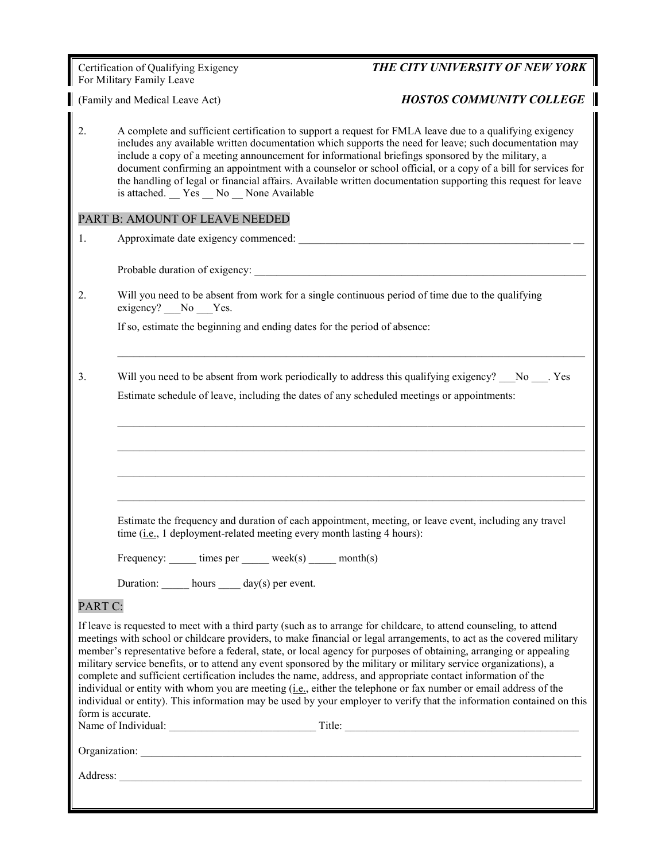For Military Family Leave

## Certification of Qualifying Exigency THE CITY UNIVERSITY OF NEW YORK

(Family and Medical Leave Act) **HOSTOS COMMUNITY COLLEGE** 

2. A complete and sufficient certification to support a request for FMLA leave due to a qualifying exigency includes any available written documentation which supports the need for leave; such documentation may include a copy of a meeting announcement for informational briefings sponsored by the military, a document confirming an appointment with a counselor or school official, or a copy of a bill for services for the handling of legal or financial affairs. Available written documentation supporting this request for leave is attached. \_\_ Yes \_\_ No \_\_ None Available

#### PART B: AMOUNT OF LEAVE NEEDED

| Approximate date exigency commenced: |  |
|--------------------------------------|--|
|--------------------------------------|--|

Probable duration of exigency:

2. Will you need to be absent from work for a single continuous period of time due to the qualifying exigency? No Yes.

If so, estimate the beginning and ending dates for the period of absence:

3. Will you need to be absent from work periodically to address this qualifying exigency? No . Yes

\_\_\_\_\_\_\_\_\_\_\_\_\_\_\_\_\_\_\_\_\_\_\_\_\_\_\_\_\_\_\_\_\_\_\_\_\_\_\_\_\_\_\_\_\_\_\_\_\_\_\_\_\_\_\_\_\_\_\_\_\_\_\_\_\_\_\_\_\_\_\_\_\_\_\_\_\_\_\_\_\_\_\_\_\_\_

 $\mathcal{L}_\mathcal{L} = \mathcal{L}_\mathcal{L} = \mathcal{L}_\mathcal{L} = \mathcal{L}_\mathcal{L} = \mathcal{L}_\mathcal{L} = \mathcal{L}_\mathcal{L} = \mathcal{L}_\mathcal{L} = \mathcal{L}_\mathcal{L} = \mathcal{L}_\mathcal{L} = \mathcal{L}_\mathcal{L} = \mathcal{L}_\mathcal{L} = \mathcal{L}_\mathcal{L} = \mathcal{L}_\mathcal{L} = \mathcal{L}_\mathcal{L} = \mathcal{L}_\mathcal{L} = \mathcal{L}_\mathcal{L} = \mathcal{L}_\mathcal{L}$ 

\_\_\_\_\_\_\_\_\_\_\_\_\_\_\_\_\_\_\_\_\_\_\_\_\_\_\_\_\_\_\_\_\_\_\_\_\_\_\_\_\_\_\_\_\_\_\_\_\_\_\_\_\_\_\_\_\_\_\_\_\_\_\_\_\_\_\_\_\_\_\_\_\_\_\_\_\_\_\_\_\_\_\_\_\_\_

\_\_\_\_\_\_\_\_\_\_\_\_\_\_\_\_\_\_\_\_\_\_\_\_\_\_\_\_\_\_\_\_\_\_\_\_\_\_\_\_\_\_\_\_\_\_\_\_\_\_\_\_\_\_\_\_\_\_\_\_\_\_\_\_\_\_\_\_\_\_\_\_\_\_\_\_\_\_\_\_\_\_\_\_\_\_

 $\mathcal{L}_\mathcal{L} = \mathcal{L}_\mathcal{L} = \mathcal{L}_\mathcal{L} = \mathcal{L}_\mathcal{L} = \mathcal{L}_\mathcal{L} = \mathcal{L}_\mathcal{L} = \mathcal{L}_\mathcal{L} = \mathcal{L}_\mathcal{L} = \mathcal{L}_\mathcal{L} = \mathcal{L}_\mathcal{L} = \mathcal{L}_\mathcal{L} = \mathcal{L}_\mathcal{L} = \mathcal{L}_\mathcal{L} = \mathcal{L}_\mathcal{L} = \mathcal{L}_\mathcal{L} = \mathcal{L}_\mathcal{L} = \mathcal{L}_\mathcal{L}$ 

Estimate schedule of leave, including the dates of any scheduled meetings or appointments:

 Estimate the frequency and duration of each appointment, meeting, or leave event, including any travel time (i.e., 1 deployment-related meeting every month lasting 4 hours):

Frequency:  $times$  times per  $week(s)$  month(s)

Duration: hours day(s) per event.

#### PART C:

If leave is requested to meet with a third party (such as to arrange for childcare, to attend counseling, to attend meetings with school or childcare providers, to make financial or legal arrangements, to act as the covered military member's representative before a federal, state, or local agency for purposes of obtaining, arranging or appealing military service benefits, or to attend any event sponsored by the military or military service organizations), a complete and sufficient certification includes the name, address, and appropriate contact information of the individual or entity with whom you are meeting (i.e., either the telephone or fax number or email address of the individual or entity). This information may be used by your employer to verify that the information contained on this form is accurate. Name of Individual: \_\_\_\_\_\_\_\_\_\_\_\_\_\_\_\_\_\_\_\_\_\_\_\_\_\_\_ Title: \_\_\_\_\_\_\_\_\_\_\_\_\_\_\_\_\_\_\_\_\_\_\_\_\_\_\_\_\_\_\_\_\_\_\_\_\_\_\_\_\_\_\_

 $O$ rganization:

Address: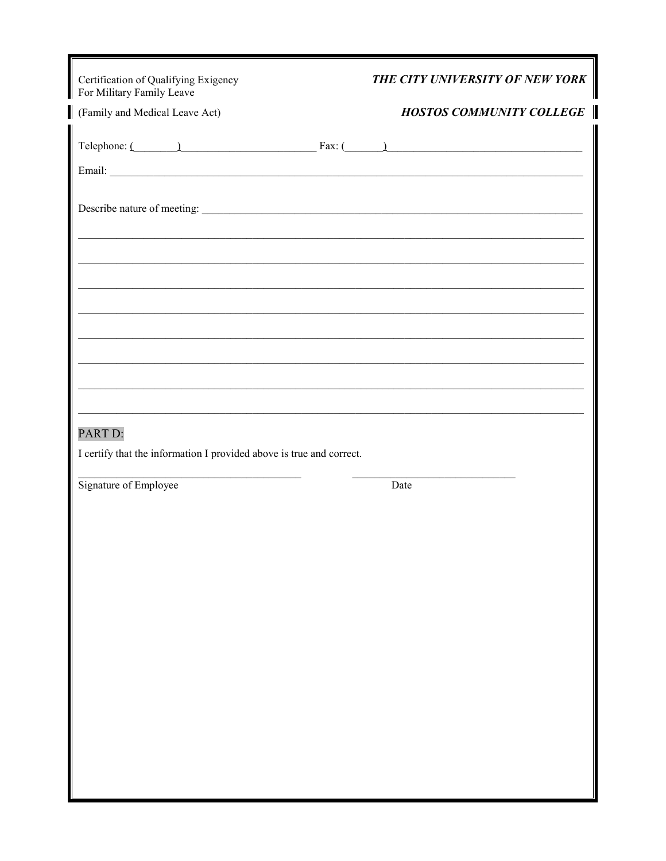| Certification of Qualifying Exigency<br>For Military Family Leave                                                                                                                                                                                                         | THE CITY UNIVERSITY OF NEW YORK |
|---------------------------------------------------------------------------------------------------------------------------------------------------------------------------------------------------------------------------------------------------------------------------|---------------------------------|
| (Family and Medical Leave Act)                                                                                                                                                                                                                                            | <b>HOSTOS COMMUNITY COLLEGE</b> |
| Telephone: $\begin{pmatrix} 1 & 1 \\ 1 & 1 \end{pmatrix}$ Fax: $\begin{pmatrix} 1 & 1 \\ 1 & 1 \end{pmatrix}$                                                                                                                                                             |                                 |
| Describe nature of meeting:                                                                                                                                                                                                                                               |                                 |
| <u> 1989 - Johann John Stone, mars eta bainar eta mondo eta mondo eta mondo eta mondo eta mondo eta mondo eta mo</u><br><u> 1989 - Johann Marie Barn, mars ar breist beskriuwer oan de Fryske kommer</u><br>the control of the control of the control of the control of   |                                 |
| <u> 1989 - Johann Harry Harry Harry Harry Harry Harry Harry Harry Harry Harry Harry Harry Harry Harry Harry Harry Harry Harry Harry Harry Harry Harry Harry Harry Harry Harry Harry Harry Harry Harry Harry Harry Harry Harry Ha</u><br>the control of the control of the |                                 |
|                                                                                                                                                                                                                                                                           |                                 |
| PART D:                                                                                                                                                                                                                                                                   |                                 |
|                                                                                                                                                                                                                                                                           |                                 |
| I certify that the information I provided above is true and correct.                                                                                                                                                                                                      |                                 |
| Signature of Employee                                                                                                                                                                                                                                                     | Date                            |
|                                                                                                                                                                                                                                                                           |                                 |
|                                                                                                                                                                                                                                                                           |                                 |
|                                                                                                                                                                                                                                                                           |                                 |
|                                                                                                                                                                                                                                                                           |                                 |
|                                                                                                                                                                                                                                                                           |                                 |
|                                                                                                                                                                                                                                                                           |                                 |
|                                                                                                                                                                                                                                                                           |                                 |
|                                                                                                                                                                                                                                                                           |                                 |
|                                                                                                                                                                                                                                                                           |                                 |
|                                                                                                                                                                                                                                                                           |                                 |
|                                                                                                                                                                                                                                                                           |                                 |

 $\blacksquare$ 

7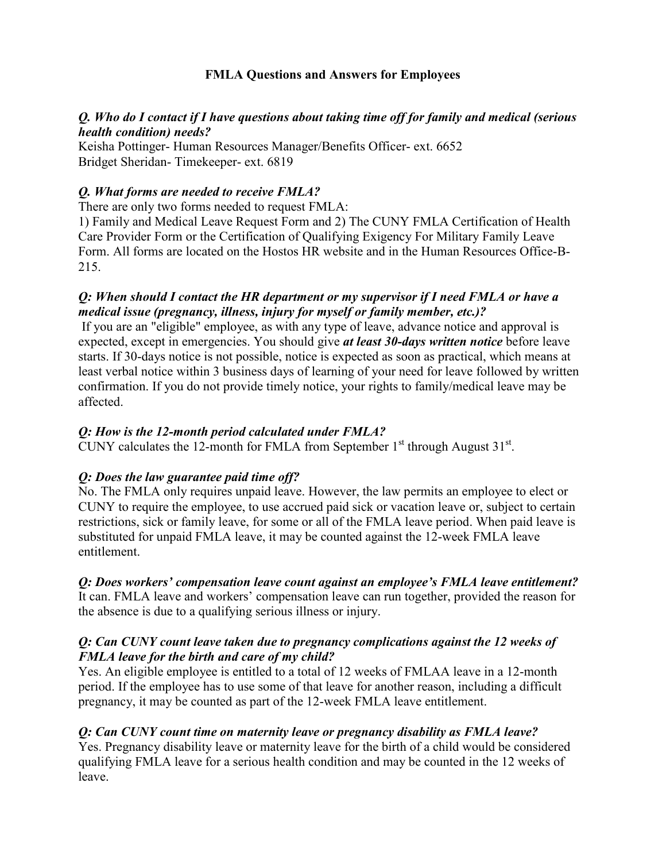# FMLA Questions and Answers for Employees

# Q. Who do I contact if I have questions about taking time off for family and medical (serious health condition) needs?

Keisha Pottinger- Human Resources Manager/Benefits Officer- ext. 6652 Bridget Sheridan- Timekeeper- ext. 6819

# Q. What forms are needed to receive FMLA?

There are only two forms needed to request FMLA:

 1) Family and Medical Leave Request Form and 2) The CUNY FMLA Certification of Health Care Provider Form or the Certification of Qualifying Exigency For Military Family Leave Form. All forms are located on the Hostos HR website and in the Human Resources Office-B-215.

## Q: When should I contact the HR department or my supervisor if I need FMLA or have a medical issue (pregnancy, illness, injury for myself or family member, etc.)?

If you are an "eligible" employee, as with any type of leave, advance notice and approval is expected, except in emergencies. You should give *at least 30-days written notice* before leave starts. If 30-days notice is not possible, notice is expected as soon as practical, which means at least verbal notice within 3 business days of learning of your need for leave followed by written confirmation. If you do not provide timely notice, your rights to family/medical leave may be affected.

# Q: How is the 12-month period calculated under FMLA?

CUNY calculates the 12-month for FMLA from September  $1<sup>st</sup>$  through August  $31<sup>st</sup>$ .

# Q: Does the law guarantee paid time off?

No. The FMLA only requires unpaid leave. However, the law permits an employee to elect or CUNY to require the employee, to use accrued paid sick or vacation leave or, subject to certain restrictions, sick or family leave, for some or all of the FMLA leave period. When paid leave is substituted for unpaid FMLA leave, it may be counted against the 12-week FMLA leave entitlement.

# Q: Does workers' compensation leave count against an employee's FMLA leave entitlement?

It can. FMLA leave and workers' compensation leave can run together, provided the reason for the absence is due to a qualifying serious illness or injury.

# Q: Can CUNY count leave taken due to pregnancy complications against the 12 weeks of FMLA leave for the birth and care of my child?

Yes. An eligible employee is entitled to a total of 12 weeks of FMLAA leave in a 12-month period. If the employee has to use some of that leave for another reason, including a difficult pregnancy, it may be counted as part of the 12-week FMLA leave entitlement.

# Q: Can CUNY count time on maternity leave or pregnancy disability as FMLA leave?

Yes. Pregnancy disability leave or maternity leave for the birth of a child would be considered qualifying FMLA leave for a serious health condition and may be counted in the 12 weeks of leave.